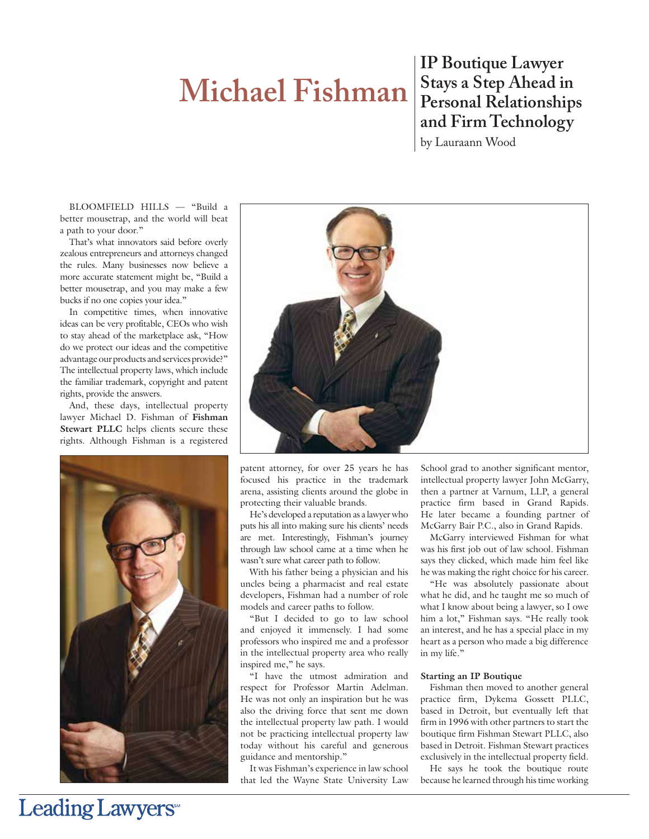# **Michael Fishman**

**IP Boutique Lawyer Stays a Step Ahead in Personal Relationships and Firm Technology** by Lauraann Wood

BLOOMFIELD HILLS — "Build a better mousetrap, and the world will beat a path to your door."

That's what innovators said before overly zealous entrepreneurs and attorneys changed the rules. Many businesses now believe a more accurate statement might be, "Build a better mousetrap, and you may make a few bucks if no one copies your idea."

In competitive times, when innovative ideas can be very profitable, CEOs who wish to stay ahead of the marketplace ask, "How do we protect our ideas and the competitive advantage our products and services provide?" The intellectual property laws, which include the familiar trademark, copyright and patent rights, provide the answers.

And, these days, intellectual property lawyer Michael D. Fishman of **Fishman Stewart PLLC** helps clients secure these rights. Although Fishman is a registered





patent attorney, for over 25 years he has focused his practice in the trademark arena, assisting clients around the globe in protecting their valuable brands.

He's developed a reputation as a lawyer who puts his all into making sure his clients' needs are met. Interestingly, Fishman's journey through law school came at a time when he wasn't sure what career path to follow.

With his father being a physician and his uncles being a pharmacist and real estate developers, Fishman had a number of role models and career paths to follow.

"But I decided to go to law school and enjoyed it immensely. I had some professors who inspired me and a professor in the intellectual property area who really inspired me," he says.

"I have the utmost admiration and respect for Professor Martin Adelman. He was not only an inspiration but he was also the driving force that sent me down the intellectual property law path. I would not be practicing intellectual property law today without his careful and generous guidance and mentorship."

It was Fishman's experience in law school that led the Wayne State University Law School grad to another significant mentor, intellectual property lawyer John McGarry, then a partner at Varnum, LLP, a general practice firm based in Grand Rapids. He later became a founding partner of McGarry Bair P.C., also in Grand Rapids.

McGarry interviewed Fishman for what was his first job out of law school. Fishman says they clicked, which made him feel like he was making the right choice for his career.

"He was absolutely passionate about what he did, and he taught me so much of what I know about being a lawyer, so I owe him a lot," Fishman says. "He really took an interest, and he has a special place in my heart as a person who made a big difference in my life."

### **Starting an IP Boutique**

Fishman then moved to another general practice firm, Dykema Gossett PLLC, based in Detroit, but eventually left that firm in 1996 with other partners to start the boutique firm Fishman Stewart PLLC, also based in Detroit. Fishman Stewart practices exclusively in the intellectual property field.

He says he took the boutique route because he learned through his time working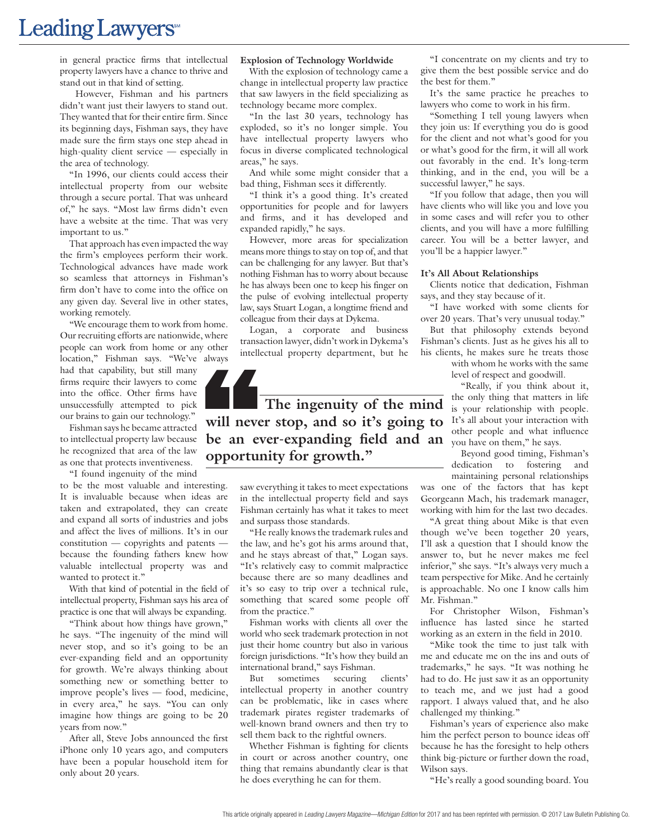## Leading Lawyers<sup>\*\*</sup>

in general practice firms that intellectual property lawyers have a chance to thrive and stand out in that kind of setting.

However, Fishman and his partners didn't want just their lawyers to stand out. They wanted that for their entire firm. Since its beginning days, Fishman says, they have made sure the firm stays one step ahead in high-quality client service — especially in the area of technology.

"In 1996, our clients could access their intellectual property from our website through a secure portal. That was unheard of," he says. "Most law firms didn't even have a website at the time. That was very important to us."

That approach has even impacted the way the firm's employees perform their work. Technological advances have made work so seamless that attorneys in Fishman's firm don't have to come into the office on any given day. Several live in other states, working remotely.

"We encourage them to work from home. Our recruiting efforts are nationwide, where people can work from home or any other location," Fishman says. "We've always

had that capability, but still many firms require their lawyers to come into the office. Other firms have unsuccessfully attempted to pick our brains to gain our technology."

Fishman says he became attracted to intellectual property law because he recognized that area of the law as one that protects inventiveness. "I found ingenuity of the mind

to be the most valuable and interesting. It is invaluable because when ideas are taken and extrapolated, they can create and expand all sorts of industries and jobs and affect the lives of millions. It's in our constitution — copyrights and patents because the founding fathers knew how valuable intellectual property was and wanted to protect it."

With that kind of potential in the field of intellectual property, Fishman says his area of practice is one that will always be expanding.

"Think about how things have grown," he says. "The ingenuity of the mind will never stop, and so it's going to be an ever-expanding field and an opportunity for growth. We're always thinking about something new or something better to improve people's lives — food, medicine, in every area," he says. "You can only imagine how things are going to be 20 years from now."

After all, Steve Jobs announced the first iPhone only 10 years ago, and computers have been a popular household item for only about 20 years.

#### **Explosion of Technology Worldwide**

With the explosion of technology came a change in intellectual property law practice that saw lawyers in the field specializing as technology became more complex.

"In the last 30 years, technology has exploded, so it's no longer simple. You have intellectual property lawyers who focus in diverse complicated technological areas," he says.

And while some might consider that a bad thing, Fishman sees it differently.

"I think it's a good thing. It's created opportunities for people and for lawyers and firms, and it has developed and expanded rapidly," he says.

However, more areas for specialization means more things to stay on top of, and that can be challenging for any lawyer. But that's nothing Fishman has to worry about because he has always been one to keep his finger on the pulse of evolving intellectual property law, says Stuart Logan, a longtime friend and colleague from their days at Dykema.

Logan, a corporate and business transaction lawyer, didn't work in Dykema's intellectual property department, but he



be an ever-expanding field and an <sub>you have on them," he says.</sub> **The ingenuity of the mind will never stop, and so it's going to opportunity for growth."**

saw everything it takes to meet expectations in the intellectual property field and says Fishman certainly has what it takes to meet and surpass those standards.

"He really knows the trademark rules and the law, and he's got his arms around that, and he stays abreast of that," Logan says. "It's relatively easy to commit malpractice because there are so many deadlines and it's so easy to trip over a technical rule, something that scared some people off from the practice."

Fishman works with clients all over the world who seek trademark protection in not just their home country but also in various foreign jurisdictions. "It's how they build an international brand," says Fishman.

But sometimes securing clients' intellectual property in another country can be problematic, like in cases where trademark pirates register trademarks of well-known brand owners and then try to sell them back to the rightful owners.

Whether Fishman is fighting for clients in court or across another country, one thing that remains abundantly clear is that he does everything he can for them.

"I concentrate on my clients and try to give them the best possible service and do the best for them."

It's the same practice he preaches to lawyers who come to work in his firm.

"Something I tell young lawyers when they join us: If everything you do is good for the client and not what's good for you or what's good for the firm, it will all work out favorably in the end. It's long-term thinking, and in the end, you will be a successful lawyer," he says.

"If you follow that adage, then you will have clients who will like you and love you in some cases and will refer you to other clients, and you will have a more fulfilling career. You will be a better lawyer, and you'll be a happier lawyer."

#### **It's All About Relationships**

Clients notice that dedication, Fishman says, and they stay because of it.

"I have worked with some clients for over 20 years. That's very unusual today."

But that philosophy extends beyond Fishman's clients. Just as he gives his all to his clients, he makes sure he treats those

> with whom he works with the same level of respect and goodwill.

"Really, if you think about it, the only thing that matters in life is your relationship with people. It's all about your interaction with other people and what influence

Beyond good timing, Fishman's dedication to fostering and maintaining personal relationships

was one of the factors that has kept Georgeann Mach, his trademark manager, working with him for the last two decades.

"A great thing about Mike is that even though we've been together 20 years, I'll ask a question that I should know the answer to, but he never makes me feel inferior," she says. "It's always very much a team perspective for Mike. And he certainly is approachable. No one I know calls him Mr. Fishman."

For Christopher Wilson, Fishman's influence has lasted since he started working as an extern in the field in 2010.

"Mike took the time to just talk with me and educate me on the ins and outs of trademarks," he says. "It was nothing he had to do. He just saw it as an opportunity to teach me, and we just had a good rapport. I always valued that, and he also challenged my thinking."

Fishman's years of experience also make him the perfect person to bounce ideas off because he has the foresight to help others think big-picture or further down the road, Wilson says.

"He's really a good sounding board. You